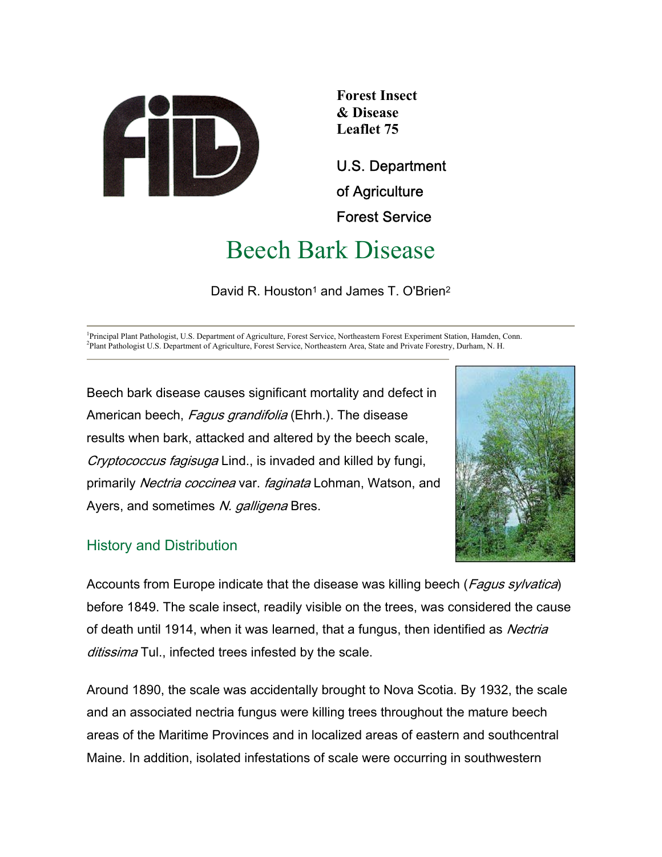

**Forest Insect & Disease Leaflet 75** 

U.S. Department of Agriculture Forest Service

# Beech Bark Disease

David R. Houston<sup>1</sup> and James T. O'Brien<sup>2</sup>

<sup>1</sup>Principal Plant Pathologist, U.S. Department of Agriculture, Forest Service, Northeastern Forest Experiment Station, Hamden, Conn. <sup>2</sup>Plant Pathologist, U.S. Department of Agriculture, Forest Service, Northeastern Acce, Plant Pathologist U.S. Department of Agriculture, Forest Service, Northeastern Area, State and Private Forestry, Durham, N. H.

Beech bark disease causes significant mortality and defect in American beech, Fagus grandifolia (Ehrh.). The disease results when bark, attacked and altered by the beech scale, Cryptococcus fagisuga Lind., is invaded and killed by fungi, primarily Nectria coccinea var. faginata Lohman, Watson, and Ayers, and sometimes N. galligena Bres.



# History and Distribution

Accounts from Europe indicate that the disease was killing beech (*Fagus sylvatica*) before 1849. The scale insect, readily visible on the trees, was considered the cause of death until 1914, when it was learned, that a fungus, then identified as Nectria ditissima Tul., infected trees infested by the scale.

Around 1890, the scale was accidentally brought to Nova Scotia. By 1932, the scale and an associated nectria fungus were killing trees throughout the mature beech areas of the Maritime Provinces and in localized areas of eastern and southcentral Maine. In addition, isolated infestations of scale were occurring in southwestern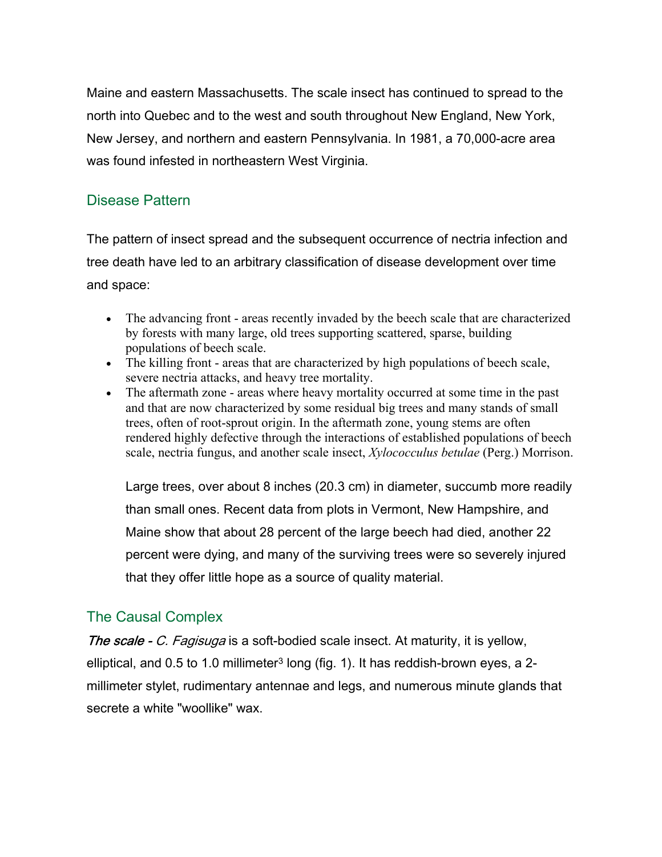Maine and eastern Massachusetts. The scale insect has continued to spread to the north into Quebec and to the west and south throughout New England, New York, New Jersey, and northern and eastern Pennsylvania. In 1981, a 70,000-acre area was found infested in northeastern West Virginia.

# Disease Pattern

The pattern of insect spread and the subsequent occurrence of nectria infection and tree death have led to an arbitrary classification of disease development over time and space:

- The advancing front areas recently invaded by the beech scale that are characterized by forests with many large, old trees supporting scattered, sparse, building populations of beech scale.
- The killing front areas that are characterized by high populations of beech scale, severe nectria attacks, and heavy tree mortality.
- The aftermath zone areas where heavy mortality occurred at some time in the past and that are now characterized by some residual big trees and many stands of small trees, often of root-sprout origin. In the aftermath zone, young stems are often rendered highly defective through the interactions of established populations of beech scale, nectria fungus, and another scale insect, *Xylococculus betulae* (Perg.) Morrison.

Large trees, over about 8 inches (20.3 cm) in diameter, succumb more readily than small ones. Recent data from plots in Vermont, New Hampshire, and Maine show that about 28 percent of the large beech had died, another 22 percent were dying, and many of the surviving trees were so severely injured that they offer little hope as a source of quality material.

# The Causal Complex

The scale - C. Fagisuga is a soft-bodied scale insect. At maturity, it is yellow, elliptical, and  $0.5$  to 1.0 millimeter<sup>3</sup> long (fig. 1). It has reddish-brown eyes, a 2millimeter stylet, rudimentary antennae and legs, and numerous minute glands that secrete a white "woollike" wax.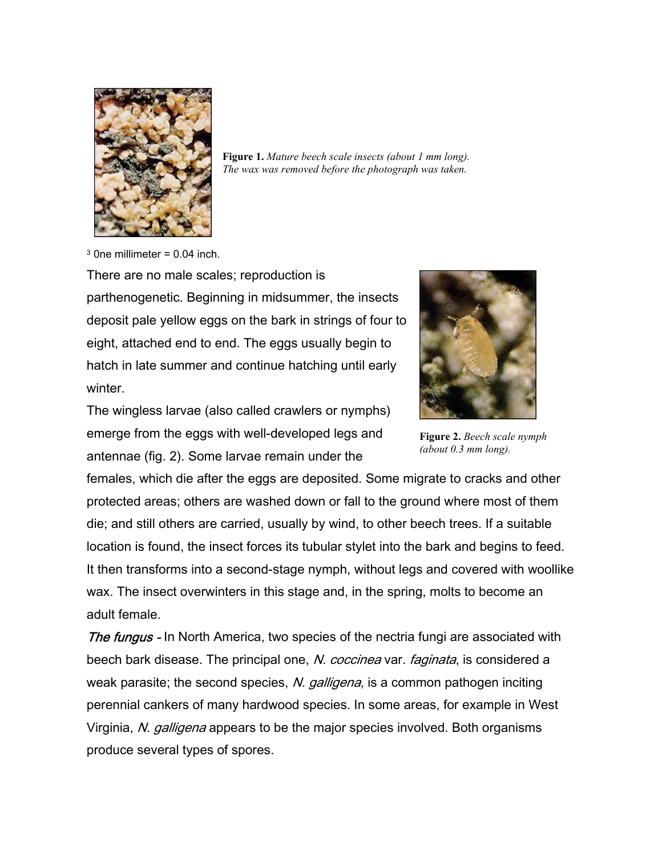

**Figure 1.** *Mature beech scale insects (about 1 mm long). The wax was removed before the photograph was taken.*

 $3$  0ne millimeter = 0.04 inch.

There are no male scales; reproduction is parthenogenetic. Beginning in midsummer, the insects deposit pale yellow eggs on the bark in strings of four to eight, attached end to end. The eggs usually begin to hatch in late summer and continue hatching until early winter.





**Figure 2.** *Beech scale nymph (about 0.3 mm long).*

females, which die after the eggs are deposited. Some migrate to cracks and other protected areas; others are washed down or fall to the ground where most of them die; and still others are carried, usually by wind, to other beech trees. If a suitable location is found, the insect forces its tubular stylet into the bark and begins to feed. It then transforms into a second-stage nymph, without legs and covered with woollike wax. The insect overwinters in this stage and, in the spring, molts to become an adult female.

The fungus - In North America, two species of the nectria fungi are associated with beech bark disease. The principal one, N. coccinea var. faginata, is considered a weak parasite; the second species, N. galligena, is a common pathogen inciting perennial cankers of many hardwood species. In some areas, for example in West Virginia, N. *galligena* appears to be the major species involved. Both organisms produce several types of spores.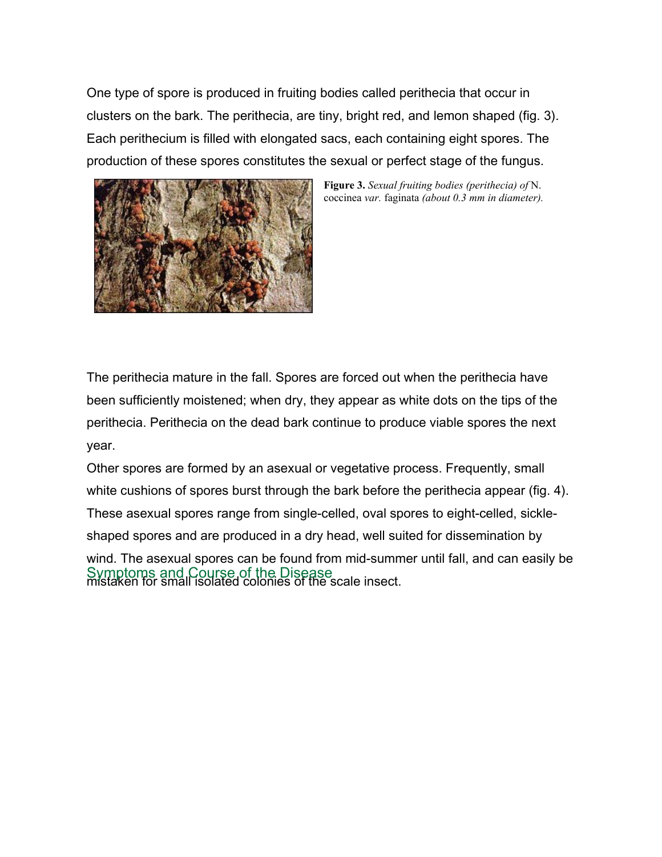One type of spore is produced in fruiting bodies called perithecia that occur in clusters on the bark. The perithecia, are tiny, bright red, and lemon shaped (fig. 3). Each perithecium is filled with elongated sacs, each containing eight spores. The production of these spores constitutes the sexual or perfect stage of the fungus.



**Figure 3.** *Sexual fruiting bodies (perithecia) of* N. coccinea *var.* faginata *(about 0.3 mm in diameter).*

The perithecia mature in the fall. Spores are forced out when the perithecia have been sufficiently moistened; when dry, they appear as white dots on the tips of the perithecia. Perithecia on the dead bark continue to produce viable spores the next year.

Other spores are formed by an asexual or vegetative process. Frequently, small white cushions of spores burst through the bark before the perithecia appear (fig. 4). These asexual spores range from single-celled, oval spores to eight-celled, sickleshaped spores and are produced in a dry head, well suited for dissemination by wind. The asexual spores can be found from mid-summer until fall, and can easily be Symptoms and Course of the Disease<br>mistaken for small isolated colonies of the scale insect.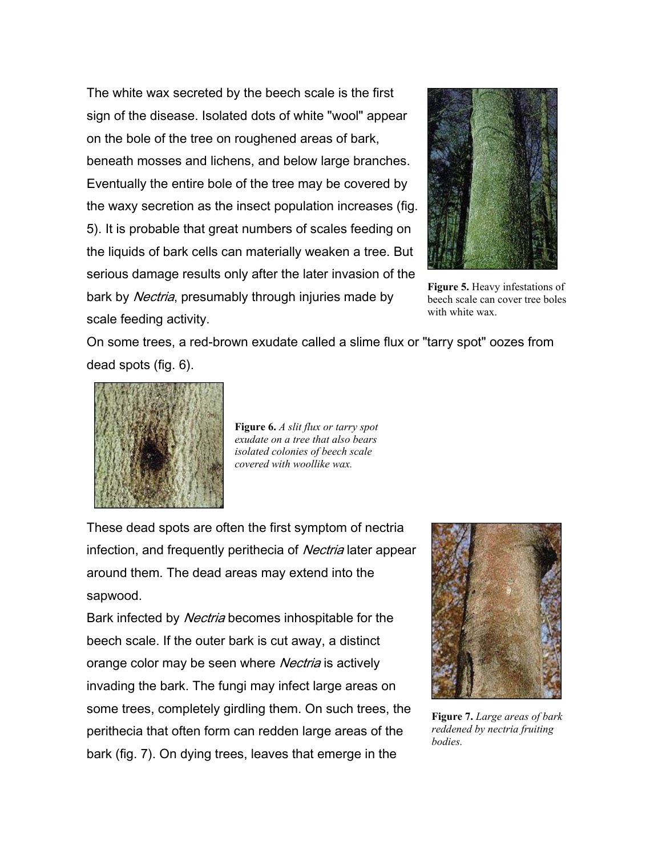The white wax secreted by the beech scale is the first sign of the disease. Isolated dots of white "wool" appear on the bole of the tree on roughened areas of bark, beneath mosses and lichens, and below large branches. Eventually the entire bole of the tree may be covered by the waxy secretion as the insect population increases (fig. 5). It is probable that great numbers of scales feeding on the liquids of bark cells can materially weaken a tree. But serious damage results only after the later invasion of the bark by *Nectria*, presumably through injuries made by scale feeding activity.



**Figure 5.** Heavy infestations of beech scale can cover tree boles with white wax.

On some trees, a red-brown exudate called a slime flux or "tarry spot" oozes from dead spots (fig. 6).



**Figure 6.** *A slit flux or tarry spot exudate on a tree that also bears isolated colonies of beech scale covered with woollike wax.*

These dead spots are often the first symptom of nectria infection, and frequently perithecia of *Nectria* later appear around them. The dead areas may extend into the sapwood.

Bark infected by *Nectria* becomes inhospitable for the beech scale. If the outer bark is cut away, a distinct orange color may be seen where *Nectria* is actively invading the bark. The fungi may infect large areas on some trees, completely girdling them. On such trees, the perithecia that often form can redden large areas of the bark (fig. 7). On dying trees, leaves that emerge in the



**Figure 7.** *Large areas of bark reddened by nectria fruiting bodies.*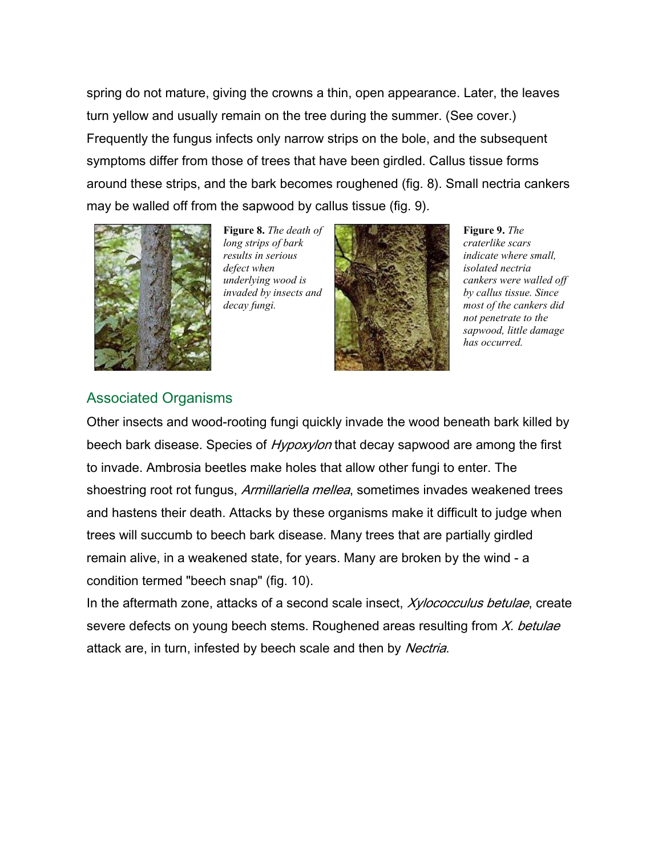spring do not mature, giving the crowns a thin, open appearance. Later, the leaves turn yellow and usually remain on the tree during the summer. (See cover.) Frequently the fungus infects only narrow strips on the bole, and the subsequent symptoms differ from those of trees that have been girdled. Callus tissue forms around these strips, and the bark becomes roughened (fig. 8). Small nectria cankers may be walled off from the sapwood by callus tissue (fig. 9).



**Figure 8.** *The death of long strips of bark results in serious defect when underlying wood is invaded by insects and decay fungi.*



**Figure 9.** *The craterlike scars indicate where small, isolated nectria cankers were walled off by callus tissue. Since most of the cankers did not penetrate to the sapwood, little damage has occurred.*

#### Associated Organisms

Other insects and wood-rooting fungi quickly invade the wood beneath bark killed by beech bark disease. Species of *Hypoxylon* that decay sapwood are among the first to invade. Ambrosia beetles make holes that allow other fungi to enter. The shoestring root rot fungus, Armillariella mellea, sometimes invades weakened trees and hastens their death. Attacks by these organisms make it difficult to judge when trees will succumb to beech bark disease. Many trees that are partially girdled remain alive, in a weakened state, for years. Many are broken by the wind - a condition termed "beech snap" (fig. 10).

In the aftermath zone, attacks of a second scale insect, *Xylococculus betulae*, create severe defects on young beech stems. Roughened areas resulting from X. betulae attack are, in turn, infested by beech scale and then by Nectria.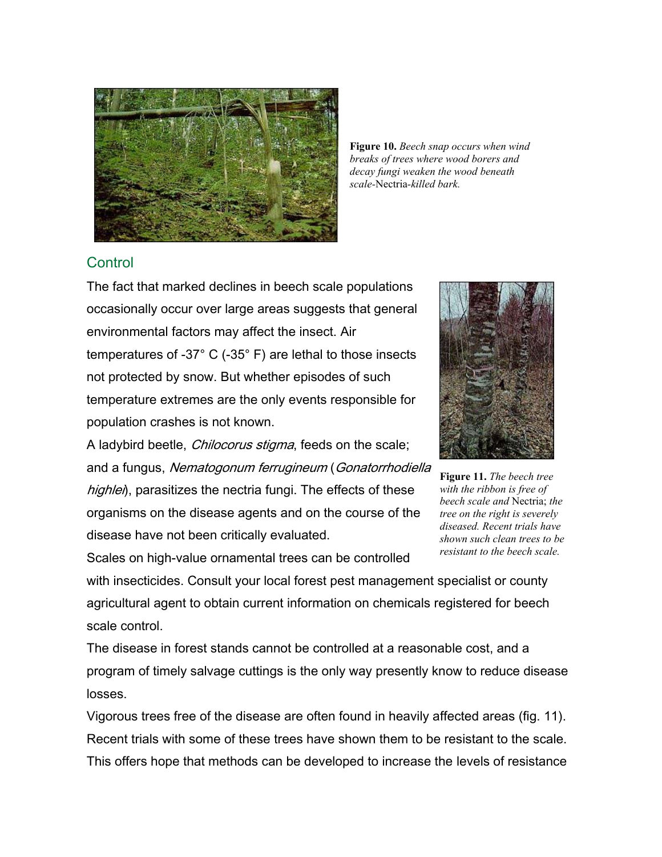

**Figure 10.** *Beech snap occurs when wind breaks of trees where wood borers and decay fungi weaken the wood beneath scale-*Nectria*-killed bark.*

#### **Control**

The fact that marked declines in beech scale populations occasionally occur over large areas suggests that general environmental factors may affect the insect. Air temperatures of -37° C (-35° F) are lethal to those insects not protected by snow. But whether episodes of such temperature extremes are the only events responsible for population crashes is not known.

A ladybird beetle, *Chilocorus stigma*, feeds on the scale; and a fungus, Nematogonum ferrugineum (Gonatorrhodiella highlei), parasitizes the nectria fungi. The effects of these organisms on the disease agents and on the course of the disease have not been critically evaluated.

Scales on high-value ornamental trees can be controlled



**Figure 11.** *The beech tree with the ribbon is free of beech scale and* Nectria; *the tree on the right is severely diseased. Recent trials have shown such clean trees to be resistant to the beech scale.*

with insecticides. Consult your local forest pest management specialist or county agricultural agent to obtain current information on chemicals registered for beech scale control.

The disease in forest stands cannot be controlled at a reasonable cost, and a program of timely salvage cuttings is the only way presently know to reduce disease losses.

Vigorous trees free of the disease are often found in heavily affected areas (fig. 11). Recent trials with some of these trees have shown them to be resistant to the scale. This offers hope that methods can be developed to increase the levels of resistance